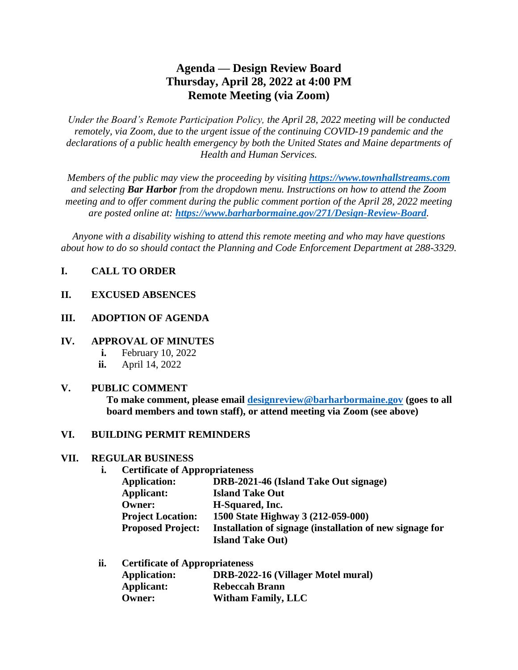# **Agenda — Design Review Board Thursday, April 28, 2022 at 4:00 PM Remote Meeting (via Zoom)**

*Under the Board's Remote Participation Policy, the April 28, 2022 meeting will be conducted remotely, via Zoom, due to the urgent issue of the continuing COVID-19 pandemic and the declarations of a public health emergency by both the United States and Maine departments of Health and Human Services.*

*Members of the public may view the proceeding by visiting [https://www.townhallstreams.com](https://www.townhallstreams.com/) and selecting Bar Harbor from the dropdown menu. Instructions on how to attend the Zoom meeting and to offer comment during the public comment portion of the April 28, 2022 meeting are posted online at: <https://www.barharbormaine.gov/271/Design-Review-Board>.*

*Anyone with a disability wishing to attend this remote meeting and who may have questions about how to do so should contact the Planning and Code Enforcement Department at 288-3329.*

## **I. CALL TO ORDER**

**II. EXCUSED ABSENCES**

#### **III. ADOPTION OF AGENDA**

## **IV. APPROVAL OF MINUTES**

- **i.** February 10, 2022
- **ii.** April 14, 2022

#### **V. PUBLIC COMMENT**

**To make comment, please email [designreview@barharbormaine.gov](mailto:designreview@barharbormaine.gov) (goes to all board members and town staff), or attend meeting via Zoom (see above)**

#### **VI. BUILDING PERMIT REMINDERS**

#### **VII. REGULAR BUSINESS**

**i. Certificate of Appropriateness**

| <b>Application:</b>      | DRB-2021-46 (Island Take Out signage)                    |
|--------------------------|----------------------------------------------------------|
| Applicant:               | <b>Island Take Out</b>                                   |
| <b>Owner:</b>            | H-Squared, Inc.                                          |
| <b>Project Location:</b> | 1500 State Highway 3 (212-059-000)                       |
| <b>Proposed Project:</b> | Installation of signage (installation of new signage for |
|                          | <b>Island Take Out)</b>                                  |

| <b>Certificate of Appropriateness</b> |                                    |  |
|---------------------------------------|------------------------------------|--|
| <b>Application:</b>                   | DRB-2022-16 (Villager Motel mural) |  |
| Applicant:                            | <b>Rebeccah Brann</b>              |  |
| <b>Owner:</b>                         | <b>Witham Family, LLC</b>          |  |
|                                       |                                    |  |